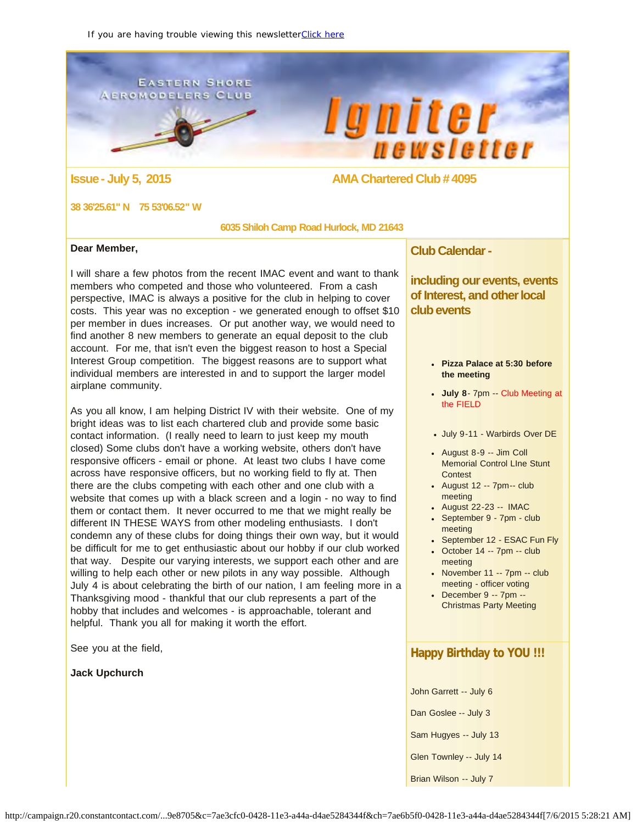<span id="page-0-0"></span>**EASTERN SHORE** AEROMODELERS CLUB





#### **Issue - July 5, 2015 AMA Chartered Club # 4095**

#### **38 36'25.61" N 75 53'06.52" W**

 **6035 Shiloh Camp Road Hurlock, MD 21643**

#### **Dear Member,**

I will share a few photos from the recent IMAC event and want to thank members who competed and those who volunteered. From a cash perspective, IMAC is always a positive for the club in helping to cover costs. This year was no exception - we generated enough to offset \$10 per member in dues increases. Or put another way, we would need to find another 8 new members to generate an equal deposit to the club account. For me, that isn't even the biggest reason to host a Special Interest Group competition. The biggest reasons are to support what individual members are interested in and to support the larger model airplane community.

As you all know, I am helping District IV with their website. One of my bright ideas was to list each chartered club and provide some basic contact information. (I really need to learn to just keep my mouth closed) Some clubs don't have a working website, others don't have responsive officers - email or phone. At least two clubs I have come across have responsive officers, but no working field to fly at. Then there are the clubs competing with each other and one club with a website that comes up with a black screen and a login - no way to find them or contact them. It never occurred to me that we might really be different IN THESE WAYS from other modeling enthusiasts. I don't condemn any of these clubs for doing things their own way, but it would be difficult for me to get enthusiastic about our hobby if our club worked that way. Despite our varying interests, we support each other and are willing to help each other or new pilots in any way possible. Although July 4 is about celebrating the birth of our nation, I am feeling more in a Thanksgiving mood - thankful that our club represents a part of the hobby that includes and welcomes - is approachable, tolerant and helpful. Thank you all for making it worth the effort.

See you at the field,

**Jack Upchurch**

**Club Calendar -**

**including our events, events of Interest, and other local club events**

- **Pizza Palace at 5:30 before the meeting**
- **July 8** 7pm -- Club Meeting at the FIELD
- July 9-11 Warbirds Over DE
- August 8-9 -- Jim Coll Memorial Control LIne Stunt Contest
- August  $12 7$ pm $-$  club meeting
- August 22-23 -- IMAC
- September 9 7pm club meeting
- September 12 ESAC Fun Fly
- $\bullet$  October 14 -- 7pm -- club meeting
- $\bullet$  November 11 -- 7pm -- club meeting - officer voting
- December 9 -- 7pm -- Christmas Party Meeting

## **Happy Birthday to YOU !!!**

John Garrett -- July 6

Dan Goslee -- July 3

Sam Hugyes -- July 13

Glen Townley -- July 14

Brian Wilson -- July 7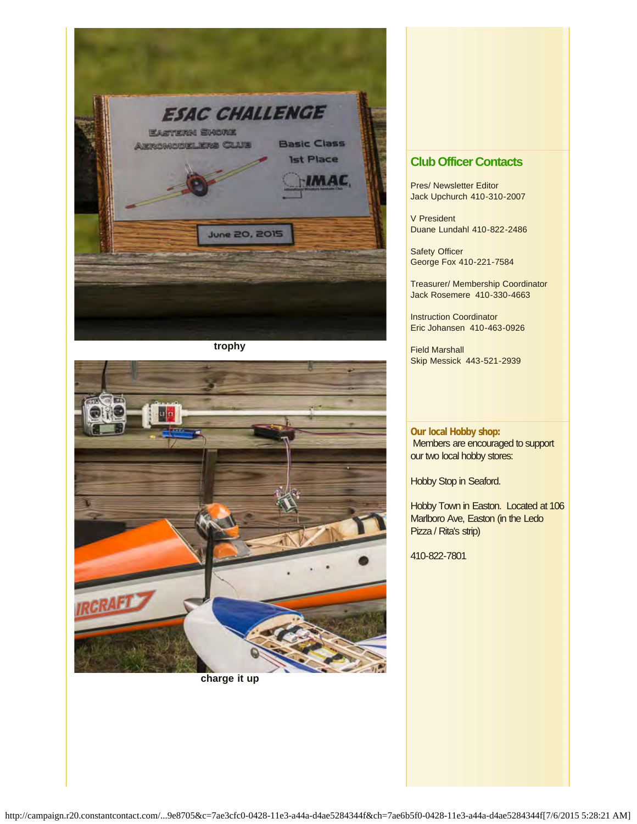

**trophy**



**charge it up**

### **Club Officer Contacts**

Pres/ Newsletter Editor Jack Upchurch 410-310-2007

V President Duane Lundahl 410-822-2486

Safety Officer George Fox 410-221-7584

Treasurer/ Membership Coordinator Jack Rosemere 410-330-4663

Instruction Coordinator Eric Johansen 410-463-0926

Field Marshall Skip Messick 443-521-2939

**Our local Hobby shop:** Members are encouraged to support our two local hobby stores:

Hobby Stop in Seaford.

Hobby Town in Easton. Located at 106 Marlboro Ave, Easton (in the Ledo Pizza / Rita's strip)

410-822-7801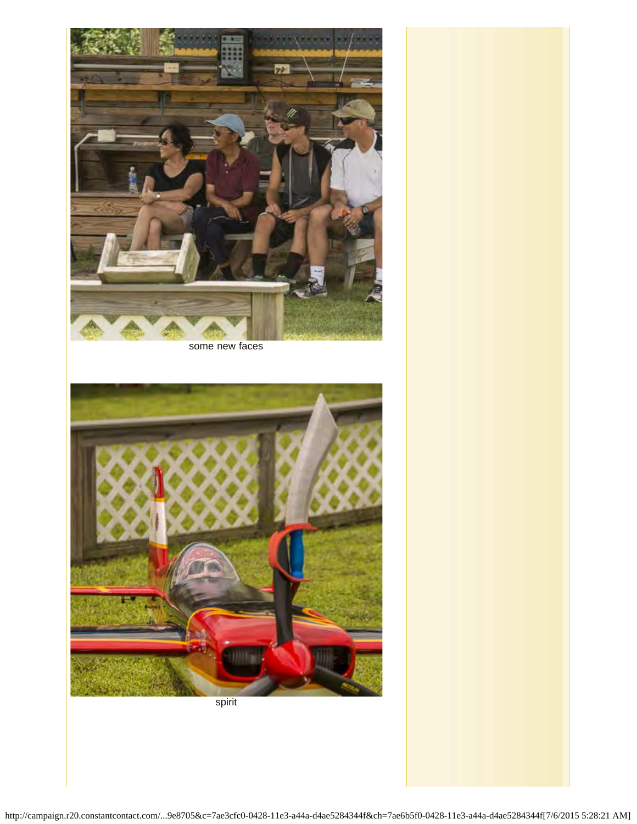

some new faces



spirit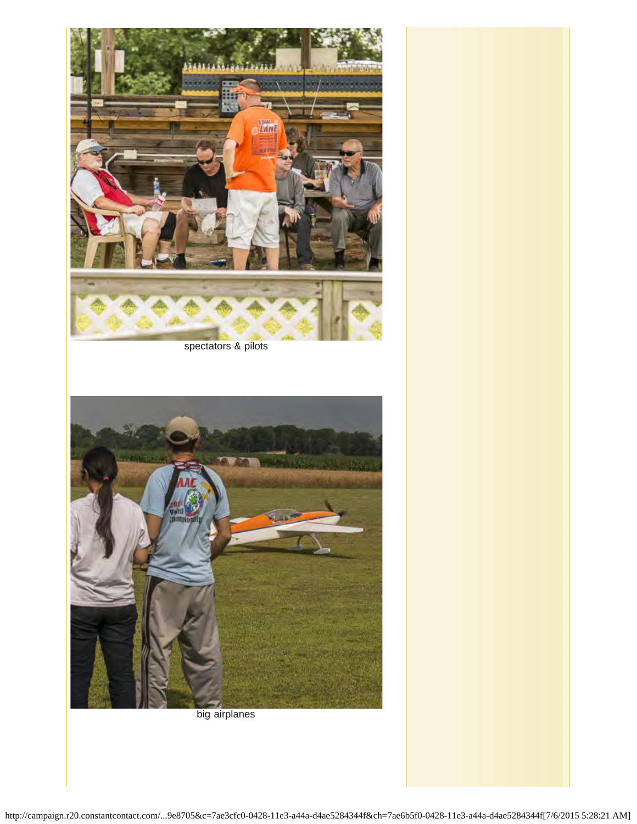

spectators & pilots



big airplanes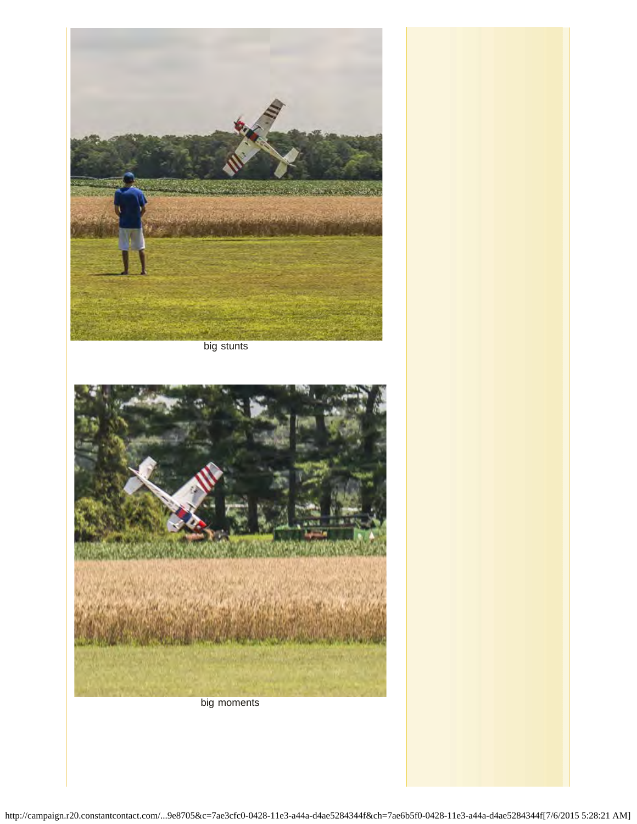

big stunts



big moments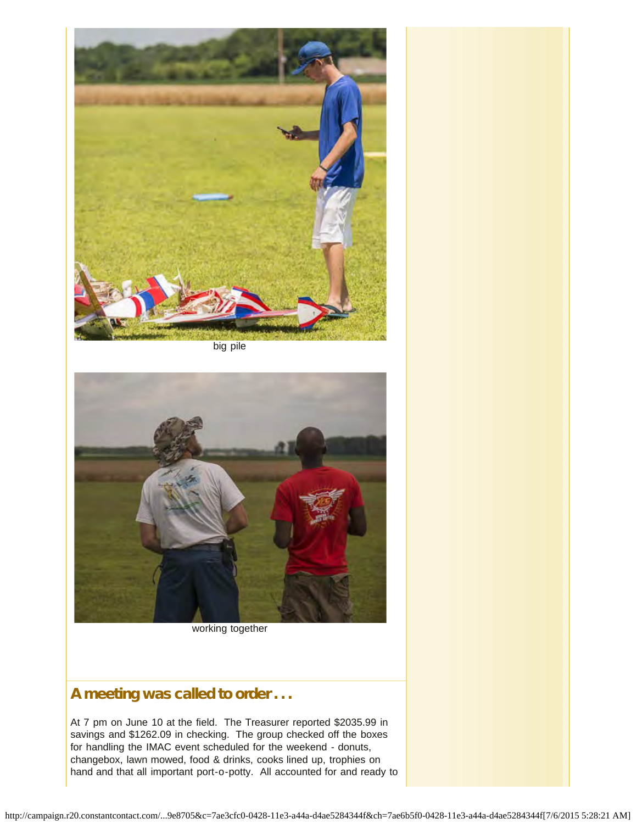

big pile



working together

# A meeting was called to order . . .

At 7 pm on June 10 at the field. The Treasurer reported \$2035.99 in savings and \$1262.09 in checking. The group checked off the boxes for handling the IMAC event scheduled for the weekend - donuts, changebox, lawn mowed, food & drinks, cooks lined up, trophies on hand and that all important port-o-potty. All accounted for and ready to